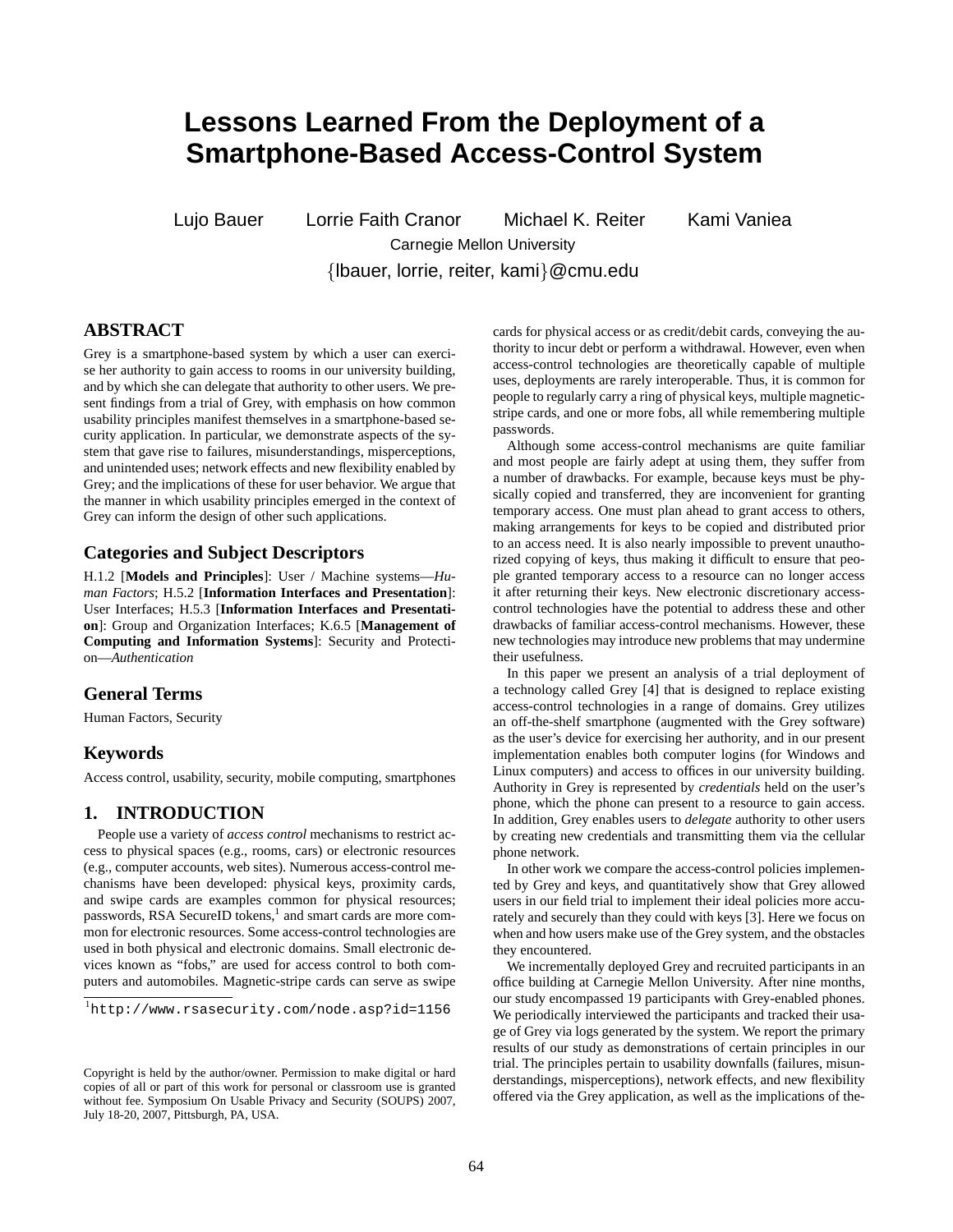# **Lessons Learned From the Deployment of a Smartphone-Based Access-Control System**

Lujo Bauer Lorrie Faith Cranor Michael K. Reiter Kami Vaniea Carnegie Mellon University {lbauer, lorrie, reiter, kami}@cmu.edu

# **ABSTRACT**

Grey is a smartphone-based system by which a user can exercise her authority to gain access to rooms in our university building, and by which she can delegate that authority to other users. We present findings from a trial of Grey, with emphasis on how common usability principles manifest themselves in a smartphone-based security application. In particular, we demonstrate aspects of the system that gave rise to failures, misunderstandings, misperceptions, and unintended uses; network effects and new flexibility enabled by Grey; and the implications of these for user behavior. We argue that the manner in which usability principles emerged in the context of Grey can inform the design of other such applications.

## **Categories and Subject Descriptors**

H.1.2 [**Models and Principles**]: User / Machine systems—*Human Factors*; H.5.2 [**Information Interfaces and Presentation**]: User Interfaces; H.5.3 [**Information Interfaces and Presentation**]: Group and Organization Interfaces; K.6.5 [**Management of Computing and Information Systems**]: Security and Protection—*Authentication*

# **General Terms**

Human Factors, Security

# **Keywords**

Access control, usability, security, mobile computing, smartphones

# **1. INTRODUCTION**

People use a variety of *access control* mechanisms to restrict access to physical spaces (e.g., rooms, cars) or electronic resources (e.g., computer accounts, web sites). Numerous access-control mechanisms have been developed: physical keys, proximity cards, and swipe cards are examples common for physical resources; passwords, RSA SecureID tokens,<sup>1</sup> and smart cards are more common for electronic resources. Some access-control technologies are used in both physical and electronic domains. Small electronic devices known as "fobs," are used for access control to both computers and automobiles. Magnetic-stripe cards can serve as swipe

cards for physical access or as credit/debit cards, conveying the authority to incur debt or perform a withdrawal. However, even when access-control technologies are theoretically capable of multiple uses, deployments are rarely interoperable. Thus, it is common for people to regularly carry a ring of physical keys, multiple magneticstripe cards, and one or more fobs, all while remembering multiple passwords.

Although some access-control mechanisms are quite familiar and most people are fairly adept at using them, they suffer from a number of drawbacks. For example, because keys must be physically copied and transferred, they are inconvenient for granting temporary access. One must plan ahead to grant access to others, making arrangements for keys to be copied and distributed prior to an access need. It is also nearly impossible to prevent unauthorized copying of keys, thus making it difficult to ensure that people granted temporary access to a resource can no longer access it after returning their keys. New electronic discretionary accesscontrol technologies have the potential to address these and other drawbacks of familiar access-control mechanisms. However, these new technologies may introduce new problems that may undermine their usefulness.

In this paper we present an analysis of a trial deployment of a technology called Grey [4] that is designed to replace existing access-control technologies in a range of domains. Grey utilizes an off-the-shelf smartphone (augmented with the Grey software) as the user's device for exercising her authority, and in our present implementation enables both computer logins (for Windows and Linux computers) and access to offices in our university building. Authority in Grey is represented by *credentials* held on the user's phone, which the phone can present to a resource to gain access. In addition, Grey enables users to *delegate* authority to other users by creating new credentials and transmitting them via the cellular phone network.

In other work we compare the access-control policies implemented by Grey and keys, and quantitatively show that Grey allowed users in our field trial to implement their ideal policies more accurately and securely than they could with keys [3]. Here we focus on when and how users make use of the Grey system, and the obstacles they encountered.

We incrementally deployed Grey and recruited participants in an office building at Carnegie Mellon University. After nine months, our study encompassed 19 participants with Grey-enabled phones. We periodically interviewed the participants and tracked their usage of Grey via logs generated by the system. We report the primary results of our study as demonstrations of certain principles in our trial. The principles pertain to usability downfalls (failures, misunderstandings, misperceptions), network effects, and new flexibility offered via the Grey application, as well as the implications of the-

<sup>1</sup>http://www.rsasecurity.com/node.asp?id=1156

Copyright is held by the author/owner. Permission to make digital or hard copies of all or part of this work for personal or classroom use is granted without fee. Symposium On Usable Privacy and Security (SOUPS) 2007, July 18-20, 2007, Pittsburgh, PA, USA.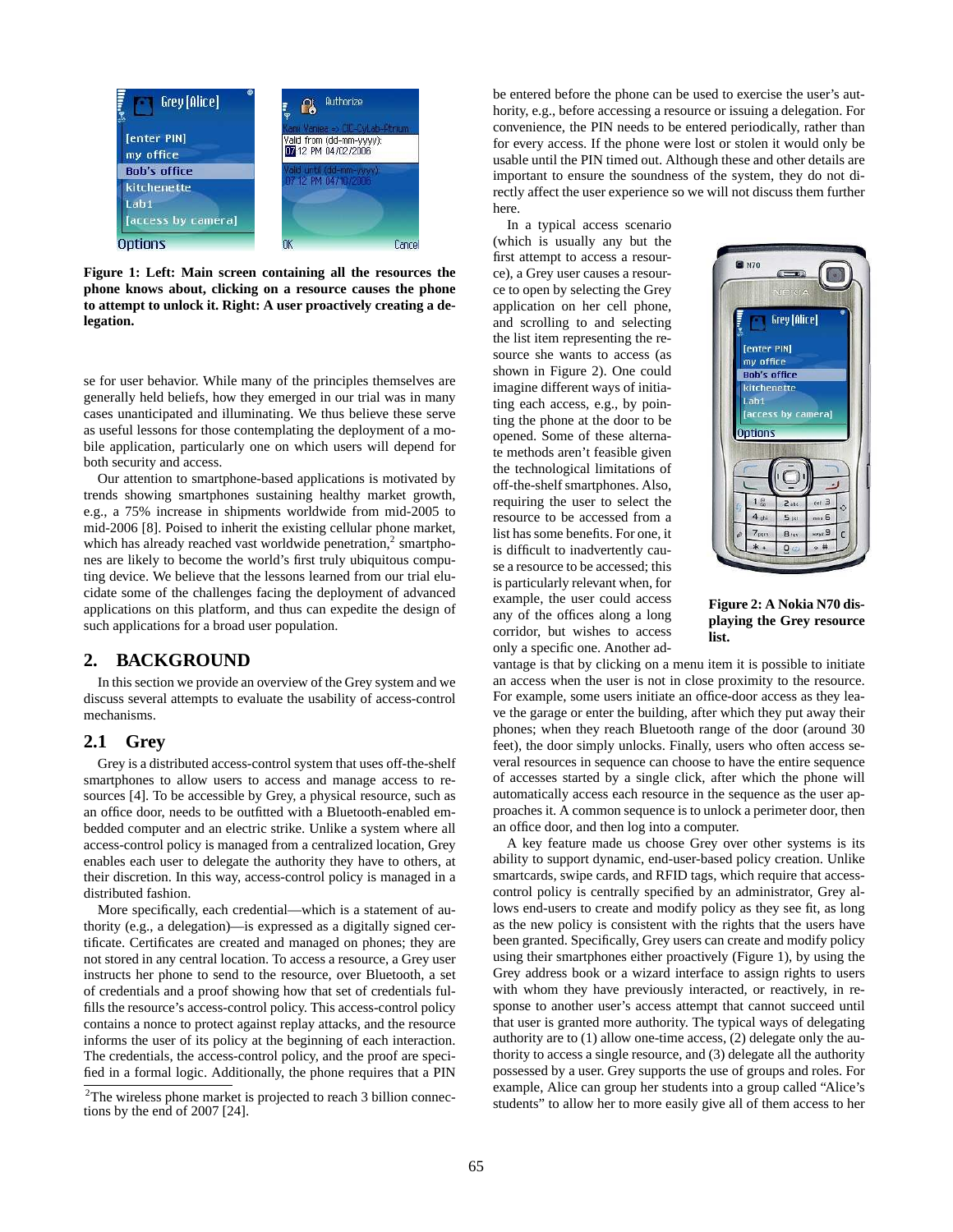

**Figure 1: Left: Main screen containing all the resources the phone knows about, clicking on a resource causes the phone to attempt to unlock it. Right: A user proactively creating a delegation.**

se for user behavior. While many of the principles themselves are generally held beliefs, how they emerged in our trial was in many cases unanticipated and illuminating. We thus believe these serve as useful lessons for those contemplating the deployment of a mobile application, particularly one on which users will depend for both security and access.

Our attention to smartphone-based applications is motivated by trends showing smartphones sustaining healthy market growth, e.g., a 75% increase in shipments worldwide from mid-2005 to mid-2006 [8]. Poised to inherit the existing cellular phone market, which has already reached vast worldwide penetration,<sup>2</sup> smartphones are likely to become the world's first truly ubiquitous computing device. We believe that the lessons learned from our trial elucidate some of the challenges facing the deployment of advanced applications on this platform, and thus can expedite the design of such applications for a broad user population.

## **2. BACKGROUND**

In this section we provide an overview of the Grey system and we discuss several attempts to evaluate the usability of access-control mechanisms.

#### **2.1 Grey**

Grey is a distributed access-control system that uses off-the-shelf smartphones to allow users to access and manage access to resources [4]. To be accessible by Grey, a physical resource, such as an office door, needs to be outfitted with a Bluetooth-enabled embedded computer and an electric strike. Unlike a system where all access-control policy is managed from a centralized location, Grey enables each user to delegate the authority they have to others, at their discretion. In this way, access-control policy is managed in a distributed fashion.

More specifically, each credential—which is a statement of authority (e.g., a delegation)—is expressed as a digitally signed certificate. Certificates are created and managed on phones; they are not stored in any central location. To access a resource, a Grey user instructs her phone to send to the resource, over Bluetooth, a set of credentials and a proof showing how that set of credentials fulfills the resource's access-control policy. This access-control policy contains a nonce to protect against replay attacks, and the resource informs the user of its policy at the beginning of each interaction. The credentials, the access-control policy, and the proof are specified in a formal logic. Additionally, the phone requires that a PIN

be entered before the phone can be used to exercise the user's authority, e.g., before accessing a resource or issuing a delegation. For convenience, the PIN needs to be entered periodically, rather than for every access. If the phone were lost or stolen it would only be usable until the PIN timed out. Although these and other details are important to ensure the soundness of the system, they do not directly affect the user experience so we will not discuss them further here.

In a typical access scenario (which is usually any but the first attempt to access a resource), a Grey user causes a resource to open by selecting the Grey application on her cell phone, and scrolling to and selecting the list item representing the resource she wants to access (as shown in Figure 2). One could imagine different ways of initiating each access, e.g., by pointing the phone at the door to be opened. Some of these alternate methods aren't feasible given the technological limitations of off-the-shelf smartphones. Also, requiring the user to select the resource to be accessed from a list has some benefits. For one, it is difficult to inadvertently cause a resource to be accessed; this is particularly relevant when, for example, the user could access any of the offices along a long corridor, but wishes to access only a specific one. Another ad-



**Figure 2: A Nokia N70 displaying the Grey resource list.**

vantage is that by clicking on a menu item it is possible to initiate an access when the user is not in close proximity to the resource. For example, some users initiate an office-door access as they leave the garage or enter the building, after which they put away their phones; when they reach Bluetooth range of the door (around 30 feet), the door simply unlocks. Finally, users who often access several resources in sequence can choose to have the entire sequence of accesses started by a single click, after which the phone will automatically access each resource in the sequence as the user approaches it. A common sequence is to unlock a perimeter door, then an office door, and then log into a computer.

A key feature made us choose Grey over other systems is its ability to support dynamic, end-user-based policy creation. Unlike smartcards, swipe cards, and RFID tags, which require that accesscontrol policy is centrally specified by an administrator, Grey allows end-users to create and modify policy as they see fit, as long as the new policy is consistent with the rights that the users have been granted. Specifically, Grey users can create and modify policy using their smartphones either proactively (Figure 1), by using the Grey address book or a wizard interface to assign rights to users with whom they have previously interacted, or reactively, in response to another user's access attempt that cannot succeed until that user is granted more authority. The typical ways of delegating authority are to (1) allow one-time access, (2) delegate only the authority to access a single resource, and (3) delegate all the authority possessed by a user. Grey supports the use of groups and roles. For example, Alice can group her students into a group called "Alice's students" to allow her to more easily give all of them access to her

<sup>&</sup>lt;sup>2</sup>The wireless phone market is projected to reach 3 billion connections by the end of 2007 [24].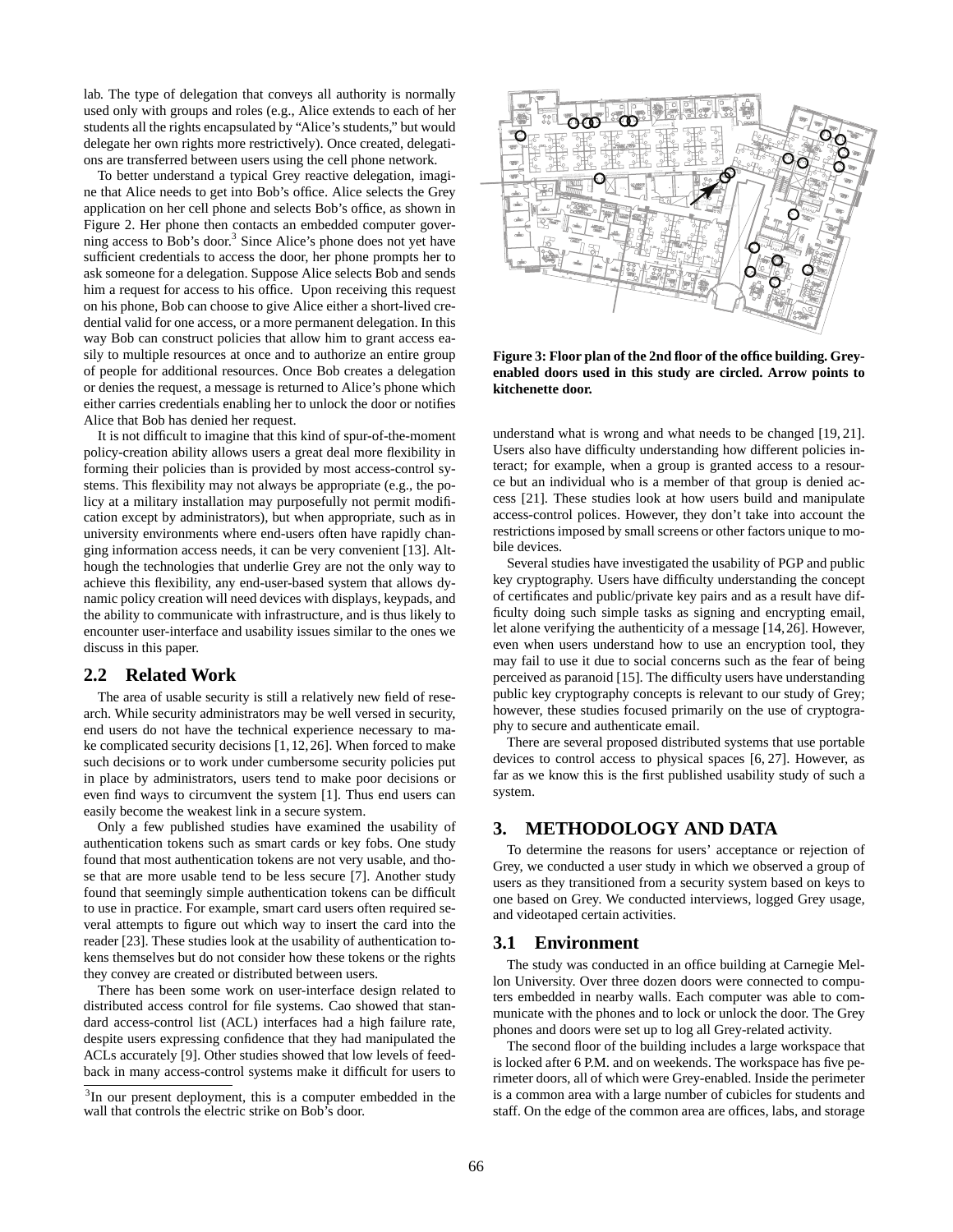lab. The type of delegation that conveys all authority is normally used only with groups and roles (e.g., Alice extends to each of her students all the rights encapsulated by "Alice's students," but would delegate her own rights more restrictively). Once created, delegations are transferred between users using the cell phone network.

To better understand a typical Grey reactive delegation, imagine that Alice needs to get into Bob's office. Alice selects the Grey application on her cell phone and selects Bob's office, as shown in Figure 2. Her phone then contacts an embedded computer governing access to Bob's door.<sup>3</sup> Since Alice's phone does not yet have sufficient credentials to access the door, her phone prompts her to ask someone for a delegation. Suppose Alice selects Bob and sends him a request for access to his office. Upon receiving this request on his phone, Bob can choose to give Alice either a short-lived credential valid for one access, or a more permanent delegation. In this way Bob can construct policies that allow him to grant access easily to multiple resources at once and to authorize an entire group of people for additional resources. Once Bob creates a delegation or denies the request, a message is returned to Alice's phone which either carries credentials enabling her to unlock the door or notifies Alice that Bob has denied her request.

It is not difficult to imagine that this kind of spur-of-the-moment policy-creation ability allows users a great deal more flexibility in forming their policies than is provided by most access-control systems. This flexibility may not always be appropriate (e.g., the policy at a military installation may purposefully not permit modification except by administrators), but when appropriate, such as in university environments where end-users often have rapidly changing information access needs, it can be very convenient [13]. Although the technologies that underlie Grey are not the only way to achieve this flexibility, any end-user-based system that allows dynamic policy creation will need devices with displays, keypads, and the ability to communicate with infrastructure, and is thus likely to encounter user-interface and usability issues similar to the ones we discuss in this paper.

#### **2.2 Related Work**

The area of usable security is still a relatively new field of research. While security administrators may be well versed in security, end users do not have the technical experience necessary to make complicated security decisions [1,12,26]. When forced to make such decisions or to work under cumbersome security policies put in place by administrators, users tend to make poor decisions or even find ways to circumvent the system [1]. Thus end users can easily become the weakest link in a secure system.

Only a few published studies have examined the usability of authentication tokens such as smart cards or key fobs. One study found that most authentication tokens are not very usable, and those that are more usable tend to be less secure [7]. Another study found that seemingly simple authentication tokens can be difficult to use in practice. For example, smart card users often required several attempts to figure out which way to insert the card into the reader [23]. These studies look at the usability of authentication tokens themselves but do not consider how these tokens or the rights they convey are created or distributed between users.

There has been some work on user-interface design related to distributed access control for file systems. Cao showed that standard access-control list (ACL) interfaces had a high failure rate, despite users expressing confidence that they had manipulated the ACLs accurately [9]. Other studies showed that low levels of feedback in many access-control systems make it difficult for users to



**Figure 3: Floor plan of the 2nd floor of the office building. Greyenabled doors used in this study are circled. Arrow points to kitchenette door.**

understand what is wrong and what needs to be changed [19, 21]. Users also have difficulty understanding how different policies interact; for example, when a group is granted access to a resource but an individual who is a member of that group is denied access [21]. These studies look at how users build and manipulate access-control polices. However, they don't take into account the restrictions imposed by small screens or other factors unique to mobile devices.

Several studies have investigated the usability of PGP and public key cryptography. Users have difficulty understanding the concept of certificates and public/private key pairs and as a result have difficulty doing such simple tasks as signing and encrypting email, let alone verifying the authenticity of a message [14,26]. However, even when users understand how to use an encryption tool, they may fail to use it due to social concerns such as the fear of being perceived as paranoid [15]. The difficulty users have understanding public key cryptography concepts is relevant to our study of Grey; however, these studies focused primarily on the use of cryptography to secure and authenticate email.

There are several proposed distributed systems that use portable devices to control access to physical spaces [6, 27]. However, as far as we know this is the first published usability study of such a system.

#### **3. METHODOLOGY AND DATA**

To determine the reasons for users' acceptance or rejection of Grey, we conducted a user study in which we observed a group of users as they transitioned from a security system based on keys to one based on Grey. We conducted interviews, logged Grey usage, and videotaped certain activities.

#### **3.1 Environment**

The study was conducted in an office building at Carnegie Mellon University. Over three dozen doors were connected to computers embedded in nearby walls. Each computer was able to communicate with the phones and to lock or unlock the door. The Grey phones and doors were set up to log all Grey-related activity.

The second floor of the building includes a large workspace that is locked after 6 P.M. and on weekends. The workspace has five perimeter doors, all of which were Grey-enabled. Inside the perimeter is a common area with a large number of cubicles for students and staff. On the edge of the common area are offices, labs, and storage

<sup>&</sup>lt;sup>3</sup>In our present deployment, this is a computer embedded in the wall that controls the electric strike on Bob's door.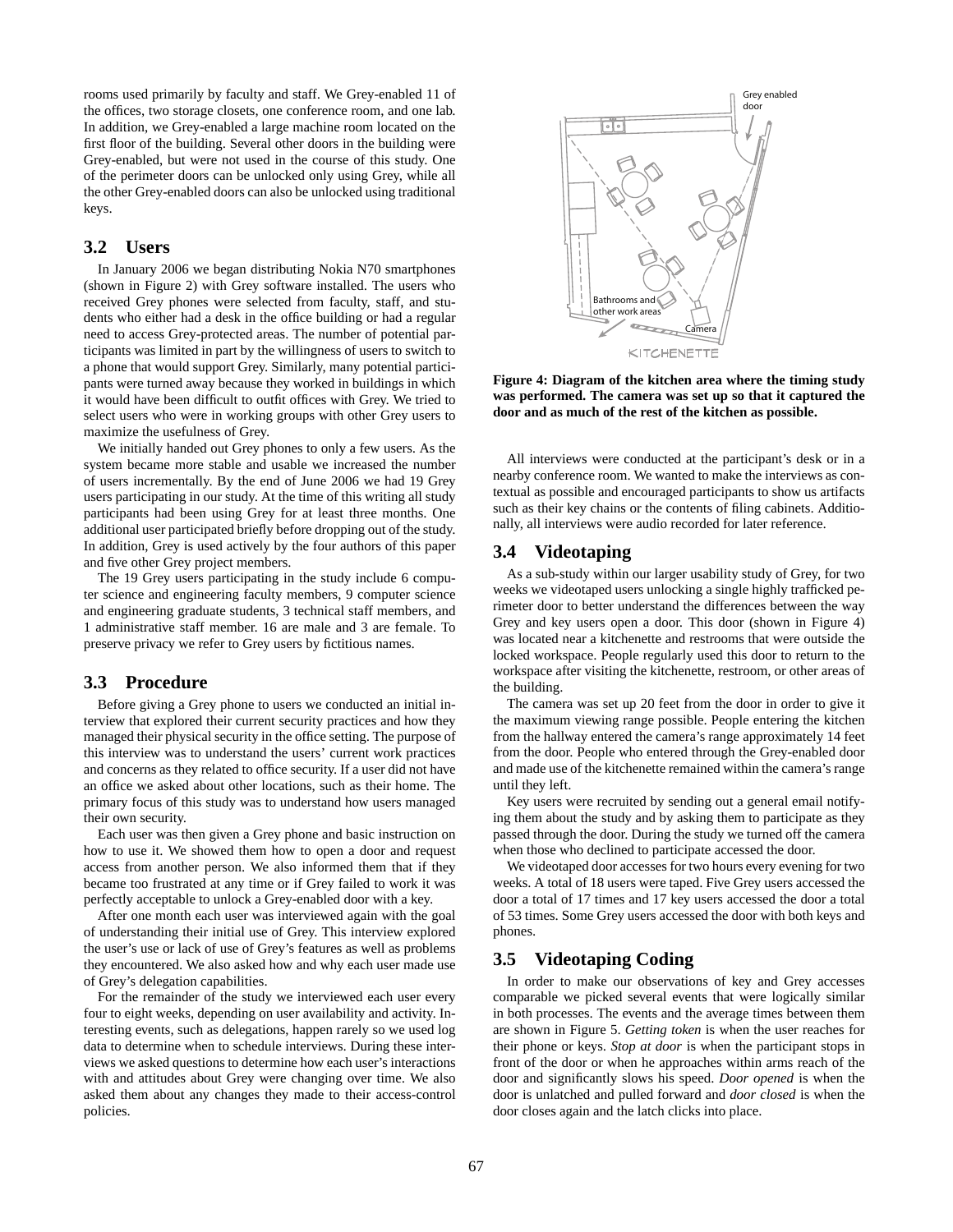rooms used primarily by faculty and staff. We Grey-enabled 11 of the offices, two storage closets, one conference room, and one lab. In addition, we Grey-enabled a large machine room located on the first floor of the building. Several other doors in the building were Grey-enabled, but were not used in the course of this study. One of the perimeter doors can be unlocked only using Grey, while all the other Grey-enabled doors can also be unlocked using traditional keys.

## **3.2 Users**

In January 2006 we began distributing Nokia N70 smartphones (shown in Figure 2) with Grey software installed. The users who received Grey phones were selected from faculty, staff, and students who either had a desk in the office building or had a regular need to access Grey-protected areas. The number of potential participants was limited in part by the willingness of users to switch to a phone that would support Grey. Similarly, many potential participants were turned away because they worked in buildings in which it would have been difficult to outfit offices with Grey. We tried to select users who were in working groups with other Grey users to maximize the usefulness of Grey.

We initially handed out Grey phones to only a few users. As the system became more stable and usable we increased the number of users incrementally. By the end of June 2006 we had 19 Grey users participating in our study. At the time of this writing all study participants had been using Grey for at least three months. One additional user participated briefly before dropping out of the study. In addition, Grey is used actively by the four authors of this paper and five other Grey project members.

The 19 Grey users participating in the study include 6 computer science and engineering faculty members, 9 computer science and engineering graduate students, 3 technical staff members, and 1 administrative staff member. 16 are male and 3 are female. To preserve privacy we refer to Grey users by fictitious names.

#### **3.3 Procedure**

Before giving a Grey phone to users we conducted an initial interview that explored their current security practices and how they managed their physical security in the office setting. The purpose of this interview was to understand the users' current work practices and concerns as they related to office security. If a user did not have an office we asked about other locations, such as their home. The primary focus of this study was to understand how users managed their own security.

Each user was then given a Grey phone and basic instruction on how to use it. We showed them how to open a door and request access from another person. We also informed them that if they became too frustrated at any time or if Grey failed to work it was perfectly acceptable to unlock a Grey-enabled door with a key.

After one month each user was interviewed again with the goal of understanding their initial use of Grey. This interview explored the user's use or lack of use of Grey's features as well as problems they encountered. We also asked how and why each user made use of Grey's delegation capabilities.

For the remainder of the study we interviewed each user every four to eight weeks, depending on user availability and activity. Interesting events, such as delegations, happen rarely so we used log data to determine when to schedule interviews. During these interviews we asked questions to determine how each user's interactions with and attitudes about Grey were changing over time. We also asked them about any changes they made to their access-control policies.



**Figure 4: Diagram of the kitchen area where the timing study was performed. The camera was set up so that it captured the door and as much of the rest of the kitchen as possible.**

All interviews were conducted at the participant's desk or in a nearby conference room. We wanted to make the interviews as contextual as possible and encouraged participants to show us artifacts such as their key chains or the contents of filing cabinets. Additionally, all interviews were audio recorded for later reference.

#### **3.4 Videotaping**

As a sub-study within our larger usability study of Grey, for two weeks we videotaped users unlocking a single highly trafficked perimeter door to better understand the differences between the way Grey and key users open a door. This door (shown in Figure 4) was located near a kitchenette and restrooms that were outside the locked workspace. People regularly used this door to return to the workspace after visiting the kitchenette, restroom, or other areas of the building.

The camera was set up 20 feet from the door in order to give it the maximum viewing range possible. People entering the kitchen from the hallway entered the camera's range approximately 14 feet from the door. People who entered through the Grey-enabled door and made use of the kitchenette remained within the camera's range until they left.

Key users were recruited by sending out a general email notifying them about the study and by asking them to participate as they passed through the door. During the study we turned off the camera when those who declined to participate accessed the door.

We videotaped door accesses for two hours every evening for two weeks. A total of 18 users were taped. Five Grey users accessed the door a total of 17 times and 17 key users accessed the door a total of 53 times. Some Grey users accessed the door with both keys and phones.

## **3.5 Videotaping Coding**

In order to make our observations of key and Grey accesses comparable we picked several events that were logically similar in both processes. The events and the average times between them are shown in Figure 5. *Getting token* is when the user reaches for their phone or keys. *Stop at door* is when the participant stops in front of the door or when he approaches within arms reach of the door and significantly slows his speed. *Door opened* is when the door is unlatched and pulled forward and *door closed* is when the door closes again and the latch clicks into place.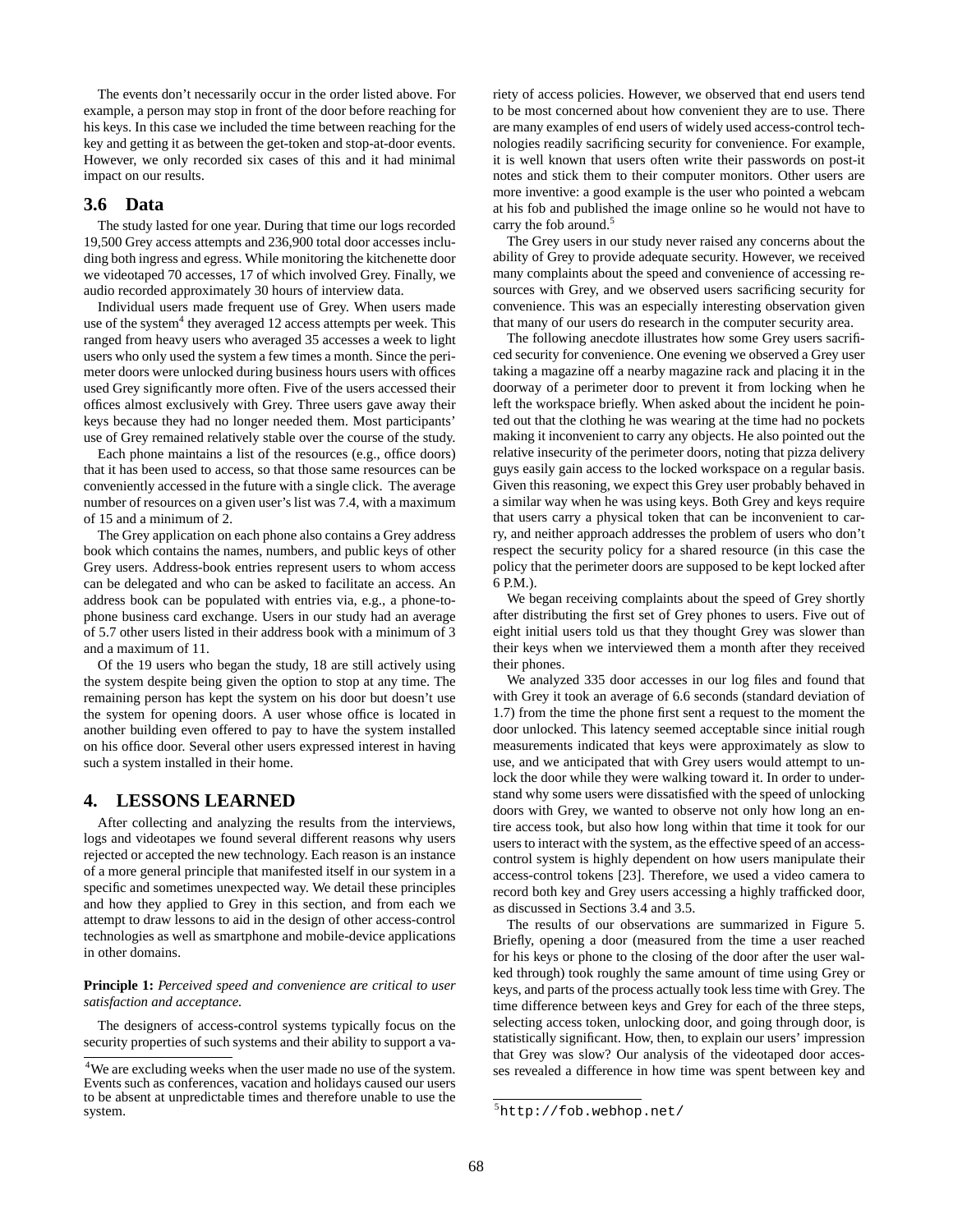The events don't necessarily occur in the order listed above. For example, a person may stop in front of the door before reaching for his keys. In this case we included the time between reaching for the key and getting it as between the get-token and stop-at-door events. However, we only recorded six cases of this and it had minimal impact on our results.

## **3.6 Data**

The study lasted for one year. During that time our logs recorded 19,500 Grey access attempts and 236,900 total door accesses including both ingress and egress. While monitoring the kitchenette door we videotaped 70 accesses, 17 of which involved Grey. Finally, we audio recorded approximately 30 hours of interview data.

Individual users made frequent use of Grey. When users made use of the system<sup>4</sup> they averaged 12 access attempts per week. This ranged from heavy users who averaged 35 accesses a week to light users who only used the system a few times a month. Since the perimeter doors were unlocked during business hours users with offices used Grey significantly more often. Five of the users accessed their offices almost exclusively with Grey. Three users gave away their keys because they had no longer needed them. Most participants' use of Grey remained relatively stable over the course of the study.

Each phone maintains a list of the resources (e.g., office doors) that it has been used to access, so that those same resources can be conveniently accessed in the future with a single click. The average number of resources on a given user's list was 7.4, with a maximum of 15 and a minimum of 2.

The Grey application on each phone also contains a Grey address book which contains the names, numbers, and public keys of other Grey users. Address-book entries represent users to whom access can be delegated and who can be asked to facilitate an access. An address book can be populated with entries via, e.g., a phone-tophone business card exchange. Users in our study had an average of 5.7 other users listed in their address book with a minimum of 3 and a maximum of 11.

Of the 19 users who began the study, 18 are still actively using the system despite being given the option to stop at any time. The remaining person has kept the system on his door but doesn't use the system for opening doors. A user whose office is located in another building even offered to pay to have the system installed on his office door. Several other users expressed interest in having such a system installed in their home.

#### **4. LESSONS LEARNED**

After collecting and analyzing the results from the interviews, logs and videotapes we found several different reasons why users rejected or accepted the new technology. Each reason is an instance of a more general principle that manifested itself in our system in a specific and sometimes unexpected way. We detail these principles and how they applied to Grey in this section, and from each we attempt to draw lessons to aid in the design of other access-control technologies as well as smartphone and mobile-device applications in other domains.

**Principle 1:** *Perceived speed and convenience are critical to user satisfaction and acceptance.*

The designers of access-control systems typically focus on the security properties of such systems and their ability to support a variety of access policies. However, we observed that end users tend to be most concerned about how convenient they are to use. There are many examples of end users of widely used access-control technologies readily sacrificing security for convenience. For example, it is well known that users often write their passwords on post-it notes and stick them to their computer monitors. Other users are more inventive: a good example is the user who pointed a webcam at his fob and published the image online so he would not have to carry the fob around.<sup>5</sup>

The Grey users in our study never raised any concerns about the ability of Grey to provide adequate security. However, we received many complaints about the speed and convenience of accessing resources with Grey, and we observed users sacrificing security for convenience. This was an especially interesting observation given that many of our users do research in the computer security area.

The following anecdote illustrates how some Grey users sacrificed security for convenience. One evening we observed a Grey user taking a magazine off a nearby magazine rack and placing it in the doorway of a perimeter door to prevent it from locking when he left the workspace briefly. When asked about the incident he pointed out that the clothing he was wearing at the time had no pockets making it inconvenient to carry any objects. He also pointed out the relative insecurity of the perimeter doors, noting that pizza delivery guys easily gain access to the locked workspace on a regular basis. Given this reasoning, we expect this Grey user probably behaved in a similar way when he was using keys. Both Grey and keys require that users carry a physical token that can be inconvenient to carry, and neither approach addresses the problem of users who don't respect the security policy for a shared resource (in this case the policy that the perimeter doors are supposed to be kept locked after 6 P.M.).

We began receiving complaints about the speed of Grey shortly after distributing the first set of Grey phones to users. Five out of eight initial users told us that they thought Grey was slower than their keys when we interviewed them a month after they received their phones.

We analyzed 335 door accesses in our log files and found that with Grey it took an average of 6.6 seconds (standard deviation of 1.7) from the time the phone first sent a request to the moment the door unlocked. This latency seemed acceptable since initial rough measurements indicated that keys were approximately as slow to use, and we anticipated that with Grey users would attempt to unlock the door while they were walking toward it. In order to understand why some users were dissatisfied with the speed of unlocking doors with Grey, we wanted to observe not only how long an entire access took, but also how long within that time it took for our users to interact with the system, as the effective speed of an accesscontrol system is highly dependent on how users manipulate their access-control tokens [23]. Therefore, we used a video camera to record both key and Grey users accessing a highly trafficked door, as discussed in Sections 3.4 and 3.5.

The results of our observations are summarized in Figure 5. Briefly, opening a door (measured from the time a user reached for his keys or phone to the closing of the door after the user walked through) took roughly the same amount of time using Grey or keys, and parts of the process actually took less time with Grey. The time difference between keys and Grey for each of the three steps, selecting access token, unlocking door, and going through door, is statistically significant. How, then, to explain our users' impression that Grey was slow? Our analysis of the videotaped door accesses revealed a difference in how time was spent between key and

<sup>&</sup>lt;sup>4</sup>We are excluding weeks when the user made no use of the system. Events such as conferences, vacation and holidays caused our users to be absent at unpredictable times and therefore unable to use the system.

<sup>5</sup>http://fob.webhop.net/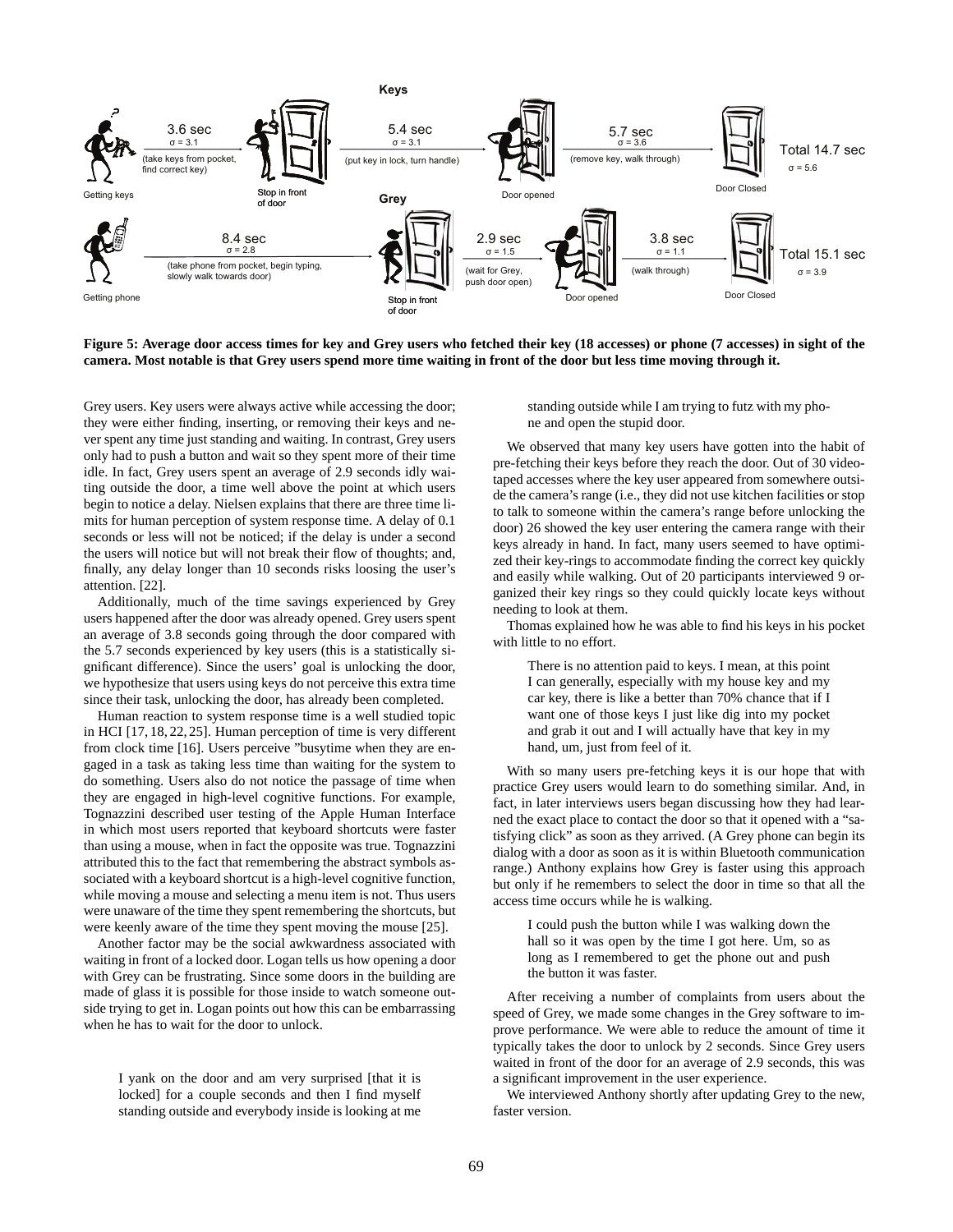

**Figure 5: Average door access times for key and Grey users who fetched their key (18 accesses) or phone (7 accesses) in sight of the camera. Most notable is that Grey users spend more time waiting in front of the door but less time moving through it.**

Grey users. Key users were always active while accessing the door; they were either finding, inserting, or removing their keys and never spent any time just standing and waiting. In contrast, Grey users only had to push a button and wait so they spent more of their time idle. In fact, Grey users spent an average of 2.9 seconds idly waiting outside the door, a time well above the point at which users begin to notice a delay. Nielsen explains that there are three time limits for human perception of system response time. A delay of 0.1 seconds or less will not be noticed; if the delay is under a second the users will notice but will not break their flow of thoughts; and, finally, any delay longer than 10 seconds risks loosing the user's attention. [22].

Additionally, much of the time savings experienced by Grey users happened after the door was already opened. Grey users spent an average of 3.8 seconds going through the door compared with the 5.7 seconds experienced by key users (this is a statistically significant difference). Since the users' goal is unlocking the door, we hypothesize that users using keys do not perceive this extra time since their task, unlocking the door, has already been completed.

Human reaction to system response time is a well studied topic in HCI [17, 18, 22, 25]. Human perception of time is very different from clock time [16]. Users perceive "busytime when they are engaged in a task as taking less time than waiting for the system to do something. Users also do not notice the passage of time when they are engaged in high-level cognitive functions. For example, Tognazzini described user testing of the Apple Human Interface in which most users reported that keyboard shortcuts were faster than using a mouse, when in fact the opposite was true. Tognazzini attributed this to the fact that remembering the abstract symbols associated with a keyboard shortcut is a high-level cognitive function, while moving a mouse and selecting a menu item is not. Thus users were unaware of the time they spent remembering the shortcuts, but were keenly aware of the time they spent moving the mouse [25].

Another factor may be the social awkwardness associated with waiting in front of a locked door. Logan tells us how opening a door with Grey can be frustrating. Since some doors in the building are made of glass it is possible for those inside to watch someone outside trying to get in. Logan points out how this can be embarrassing when he has to wait for the door to unlock.

I yank on the door and am very surprised [that it is locked] for a couple seconds and then I find myself standing outside and everybody inside is looking at me standing outside while I am trying to futz with my phone and open the stupid door.

We observed that many key users have gotten into the habit of pre-fetching their keys before they reach the door. Out of 30 videotaped accesses where the key user appeared from somewhere outside the camera's range (i.e., they did not use kitchen facilities or stop to talk to someone within the camera's range before unlocking the door) 26 showed the key user entering the camera range with their keys already in hand. In fact, many users seemed to have optimized their key-rings to accommodate finding the correct key quickly and easily while walking. Out of 20 participants interviewed 9 organized their key rings so they could quickly locate keys without needing to look at them.

Thomas explained how he was able to find his keys in his pocket with little to no effort.

There is no attention paid to keys. I mean, at this point I can generally, especially with my house key and my car key, there is like a better than 70% chance that if I want one of those keys I just like dig into my pocket and grab it out and I will actually have that key in my hand, um, just from feel of it.

With so many users pre-fetching keys it is our hope that with practice Grey users would learn to do something similar. And, in fact, in later interviews users began discussing how they had learned the exact place to contact the door so that it opened with a "satisfying click" as soon as they arrived. (A Grey phone can begin its dialog with a door as soon as it is within Bluetooth communication range.) Anthony explains how Grey is faster using this approach but only if he remembers to select the door in time so that all the access time occurs while he is walking.

I could push the button while I was walking down the hall so it was open by the time I got here. Um, so as long as I remembered to get the phone out and push the button it was faster.

After receiving a number of complaints from users about the speed of Grey, we made some changes in the Grey software to improve performance. We were able to reduce the amount of time it typically takes the door to unlock by 2 seconds. Since Grey users waited in front of the door for an average of 2.9 seconds, this was a significant improvement in the user experience.

We interviewed Anthony shortly after updating Grey to the new, faster version.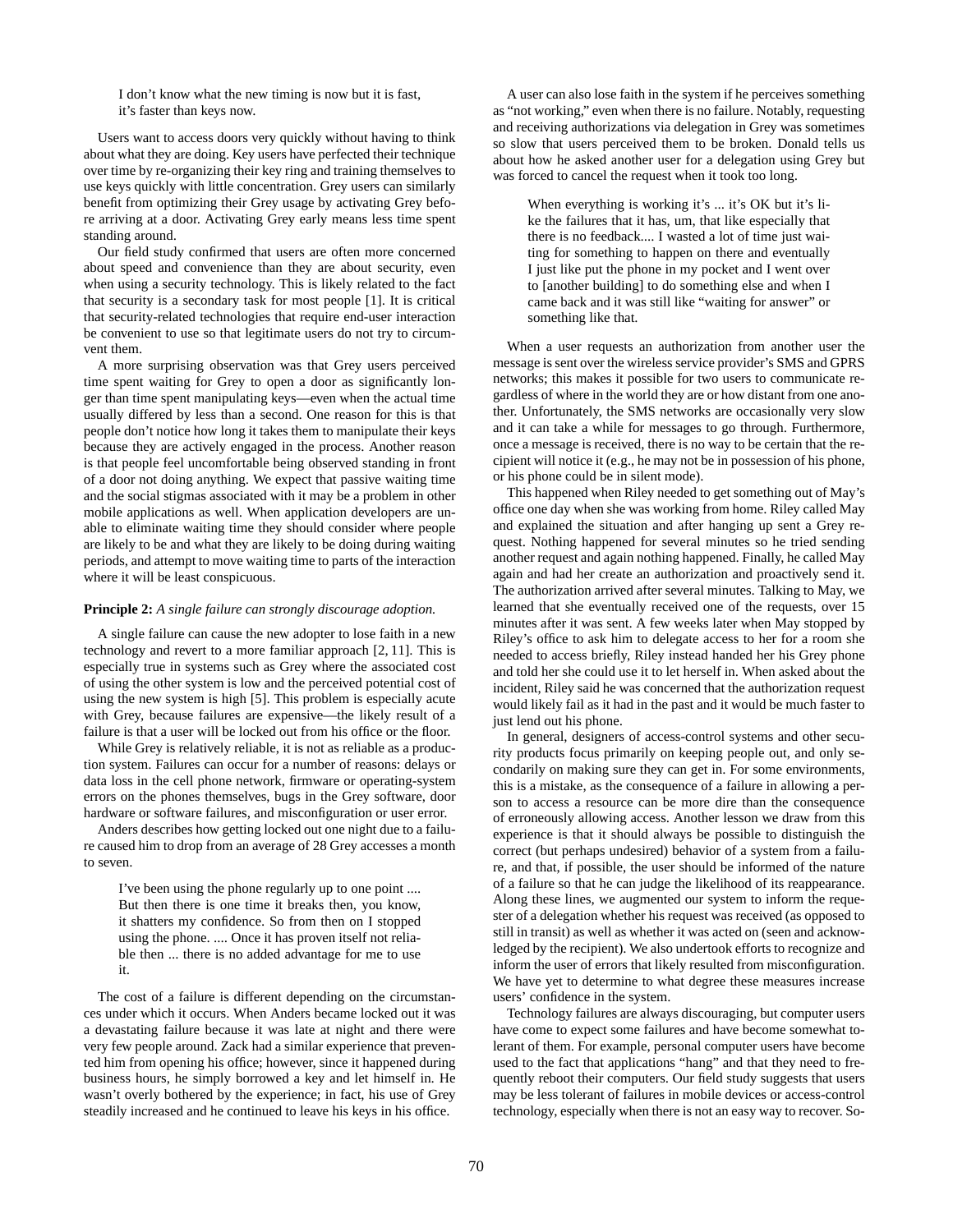I don't know what the new timing is now but it is fast, it's faster than keys now.

Users want to access doors very quickly without having to think about what they are doing. Key users have perfected their technique over time by re-organizing their key ring and training themselves to use keys quickly with little concentration. Grey users can similarly benefit from optimizing their Grey usage by activating Grey before arriving at a door. Activating Grey early means less time spent standing around.

Our field study confirmed that users are often more concerned about speed and convenience than they are about security, even when using a security technology. This is likely related to the fact that security is a secondary task for most people [1]. It is critical that security-related technologies that require end-user interaction be convenient to use so that legitimate users do not try to circumvent them.

A more surprising observation was that Grey users perceived time spent waiting for Grey to open a door as significantly longer than time spent manipulating keys—even when the actual time usually differed by less than a second. One reason for this is that people don't notice how long it takes them to manipulate their keys because they are actively engaged in the process. Another reason is that people feel uncomfortable being observed standing in front of a door not doing anything. We expect that passive waiting time and the social stigmas associated with it may be a problem in other mobile applications as well. When application developers are unable to eliminate waiting time they should consider where people are likely to be and what they are likely to be doing during waiting periods, and attempt to move waiting time to parts of the interaction where it will be least conspicuous.

#### **Principle 2:** *A single failure can strongly discourage adoption.*

A single failure can cause the new adopter to lose faith in a new technology and revert to a more familiar approach [2, 11]. This is especially true in systems such as Grey where the associated cost of using the other system is low and the perceived potential cost of using the new system is high [5]. This problem is especially acute with Grey, because failures are expensive—the likely result of a failure is that a user will be locked out from his office or the floor.

While Grey is relatively reliable, it is not as reliable as a production system. Failures can occur for a number of reasons: delays or data loss in the cell phone network, firmware or operating-system errors on the phones themselves, bugs in the Grey software, door hardware or software failures, and misconfiguration or user error.

Anders describes how getting locked out one night due to a failure caused him to drop from an average of 28 Grey accesses a month to seven.

I've been using the phone regularly up to one point .... But then there is one time it breaks then, you know, it shatters my confidence. So from then on I stopped using the phone. .... Once it has proven itself not reliable then ... there is no added advantage for me to use it.

The cost of a failure is different depending on the circumstances under which it occurs. When Anders became locked out it was a devastating failure because it was late at night and there were very few people around. Zack had a similar experience that prevented him from opening his office; however, since it happened during business hours, he simply borrowed a key and let himself in. He wasn't overly bothered by the experience; in fact, his use of Grey steadily increased and he continued to leave his keys in his office.

A user can also lose faith in the system if he perceives something as "not working," even when there is no failure. Notably, requesting and receiving authorizations via delegation in Grey was sometimes so slow that users perceived them to be broken. Donald tells us about how he asked another user for a delegation using Grey but was forced to cancel the request when it took too long.

When everything is working it's ... it's OK but it's like the failures that it has, um, that like especially that there is no feedback.... I wasted a lot of time just waiting for something to happen on there and eventually I just like put the phone in my pocket and I went over to [another building] to do something else and when I came back and it was still like "waiting for answer" or something like that.

When a user requests an authorization from another user the message is sent over the wireless service provider's SMS and GPRS networks; this makes it possible for two users to communicate regardless of where in the world they are or how distant from one another. Unfortunately, the SMS networks are occasionally very slow and it can take a while for messages to go through. Furthermore, once a message is received, there is no way to be certain that the recipient will notice it (e.g., he may not be in possession of his phone, or his phone could be in silent mode).

This happened when Riley needed to get something out of May's office one day when she was working from home. Riley called May and explained the situation and after hanging up sent a Grey request. Nothing happened for several minutes so he tried sending another request and again nothing happened. Finally, he called May again and had her create an authorization and proactively send it. The authorization arrived after several minutes. Talking to May, we learned that she eventually received one of the requests, over 15 minutes after it was sent. A few weeks later when May stopped by Riley's office to ask him to delegate access to her for a room she needed to access briefly, Riley instead handed her his Grey phone and told her she could use it to let herself in. When asked about the incident, Riley said he was concerned that the authorization request would likely fail as it had in the past and it would be much faster to just lend out his phone.

In general, designers of access-control systems and other security products focus primarily on keeping people out, and only secondarily on making sure they can get in. For some environments, this is a mistake, as the consequence of a failure in allowing a person to access a resource can be more dire than the consequence of erroneously allowing access. Another lesson we draw from this experience is that it should always be possible to distinguish the correct (but perhaps undesired) behavior of a system from a failure, and that, if possible, the user should be informed of the nature of a failure so that he can judge the likelihood of its reappearance. Along these lines, we augmented our system to inform the requester of a delegation whether his request was received (as opposed to still in transit) as well as whether it was acted on (seen and acknowledged by the recipient). We also undertook efforts to recognize and inform the user of errors that likely resulted from misconfiguration. We have yet to determine to what degree these measures increase users' confidence in the system.

Technology failures are always discouraging, but computer users have come to expect some failures and have become somewhat tolerant of them. For example, personal computer users have become used to the fact that applications "hang" and that they need to frequently reboot their computers. Our field study suggests that users may be less tolerant of failures in mobile devices or access-control technology, especially when there is not an easy way to recover. So-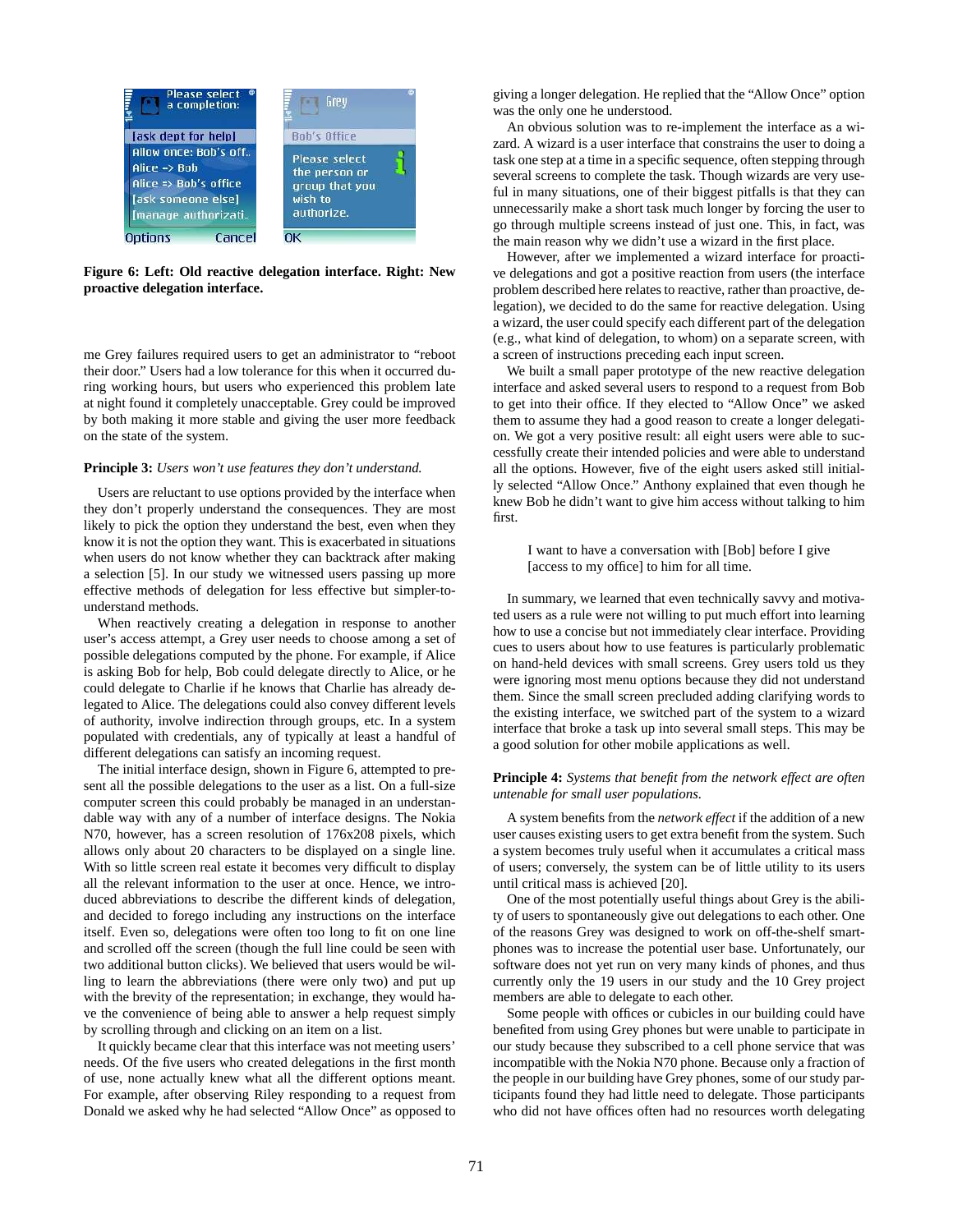

**Figure 6: Left: Old reactive delegation interface. Right: New proactive delegation interface.**

me Grey failures required users to get an administrator to "reboot their door." Users had a low tolerance for this when it occurred during working hours, but users who experienced this problem late at night found it completely unacceptable. Grey could be improved by both making it more stable and giving the user more feedback on the state of the system.

#### **Principle 3:** *Users won't use features they don't understand.*

Users are reluctant to use options provided by the interface when they don't properly understand the consequences. They are most likely to pick the option they understand the best, even when they know it is not the option they want. This is exacerbated in situations when users do not know whether they can backtrack after making a selection [5]. In our study we witnessed users passing up more effective methods of delegation for less effective but simpler-tounderstand methods.

When reactively creating a delegation in response to another user's access attempt, a Grey user needs to choose among a set of possible delegations computed by the phone. For example, if Alice is asking Bob for help, Bob could delegate directly to Alice, or he could delegate to Charlie if he knows that Charlie has already delegated to Alice. The delegations could also convey different levels of authority, involve indirection through groups, etc. In a system populated with credentials, any of typically at least a handful of different delegations can satisfy an incoming request.

The initial interface design, shown in Figure 6, attempted to present all the possible delegations to the user as a list. On a full-size computer screen this could probably be managed in an understandable way with any of a number of interface designs. The Nokia N70, however, has a screen resolution of 176x208 pixels, which allows only about 20 characters to be displayed on a single line. With so little screen real estate it becomes very difficult to display all the relevant information to the user at once. Hence, we introduced abbreviations to describe the different kinds of delegation, and decided to forego including any instructions on the interface itself. Even so, delegations were often too long to fit on one line and scrolled off the screen (though the full line could be seen with two additional button clicks). We believed that users would be willing to learn the abbreviations (there were only two) and put up with the brevity of the representation; in exchange, they would have the convenience of being able to answer a help request simply by scrolling through and clicking on an item on a list.

It quickly became clear that this interface was not meeting users' needs. Of the five users who created delegations in the first month of use, none actually knew what all the different options meant. For example, after observing Riley responding to a request from Donald we asked why he had selected "Allow Once" as opposed to giving a longer delegation. He replied that the "Allow Once" option was the only one he understood.

An obvious solution was to re-implement the interface as a wizard. A wizard is a user interface that constrains the user to doing a task one step at a time in a specific sequence, often stepping through several screens to complete the task. Though wizards are very useful in many situations, one of their biggest pitfalls is that they can unnecessarily make a short task much longer by forcing the user to go through multiple screens instead of just one. This, in fact, was the main reason why we didn't use a wizard in the first place.

However, after we implemented a wizard interface for proactive delegations and got a positive reaction from users (the interface problem described here relates to reactive, rather than proactive, delegation), we decided to do the same for reactive delegation. Using a wizard, the user could specify each different part of the delegation (e.g., what kind of delegation, to whom) on a separate screen, with a screen of instructions preceding each input screen.

We built a small paper prototype of the new reactive delegation interface and asked several users to respond to a request from Bob to get into their office. If they elected to "Allow Once" we asked them to assume they had a good reason to create a longer delegation. We got a very positive result: all eight users were able to successfully create their intended policies and were able to understand all the options. However, five of the eight users asked still initially selected "Allow Once." Anthony explained that even though he knew Bob he didn't want to give him access without talking to him first.

I want to have a conversation with [Bob] before I give [access to my office] to him for all time.

In summary, we learned that even technically savvy and motivated users as a rule were not willing to put much effort into learning how to use a concise but not immediately clear interface. Providing cues to users about how to use features is particularly problematic on hand-held devices with small screens. Grey users told us they were ignoring most menu options because they did not understand them. Since the small screen precluded adding clarifying words to the existing interface, we switched part of the system to a wizard interface that broke a task up into several small steps. This may be a good solution for other mobile applications as well.

#### **Principle 4:** *Systems that benefit from the network effect are often untenable for small user populations.*

A system benefits from the *network effect* if the addition of a new user causes existing users to get extra benefit from the system. Such a system becomes truly useful when it accumulates a critical mass of users; conversely, the system can be of little utility to its users until critical mass is achieved [20].

One of the most potentially useful things about Grey is the ability of users to spontaneously give out delegations to each other. One of the reasons Grey was designed to work on off-the-shelf smartphones was to increase the potential user base. Unfortunately, our software does not yet run on very many kinds of phones, and thus currently only the 19 users in our study and the 10 Grey project members are able to delegate to each other.

Some people with offices or cubicles in our building could have benefited from using Grey phones but were unable to participate in our study because they subscribed to a cell phone service that was incompatible with the Nokia N70 phone. Because only a fraction of the people in our building have Grey phones, some of our study participants found they had little need to delegate. Those participants who did not have offices often had no resources worth delegating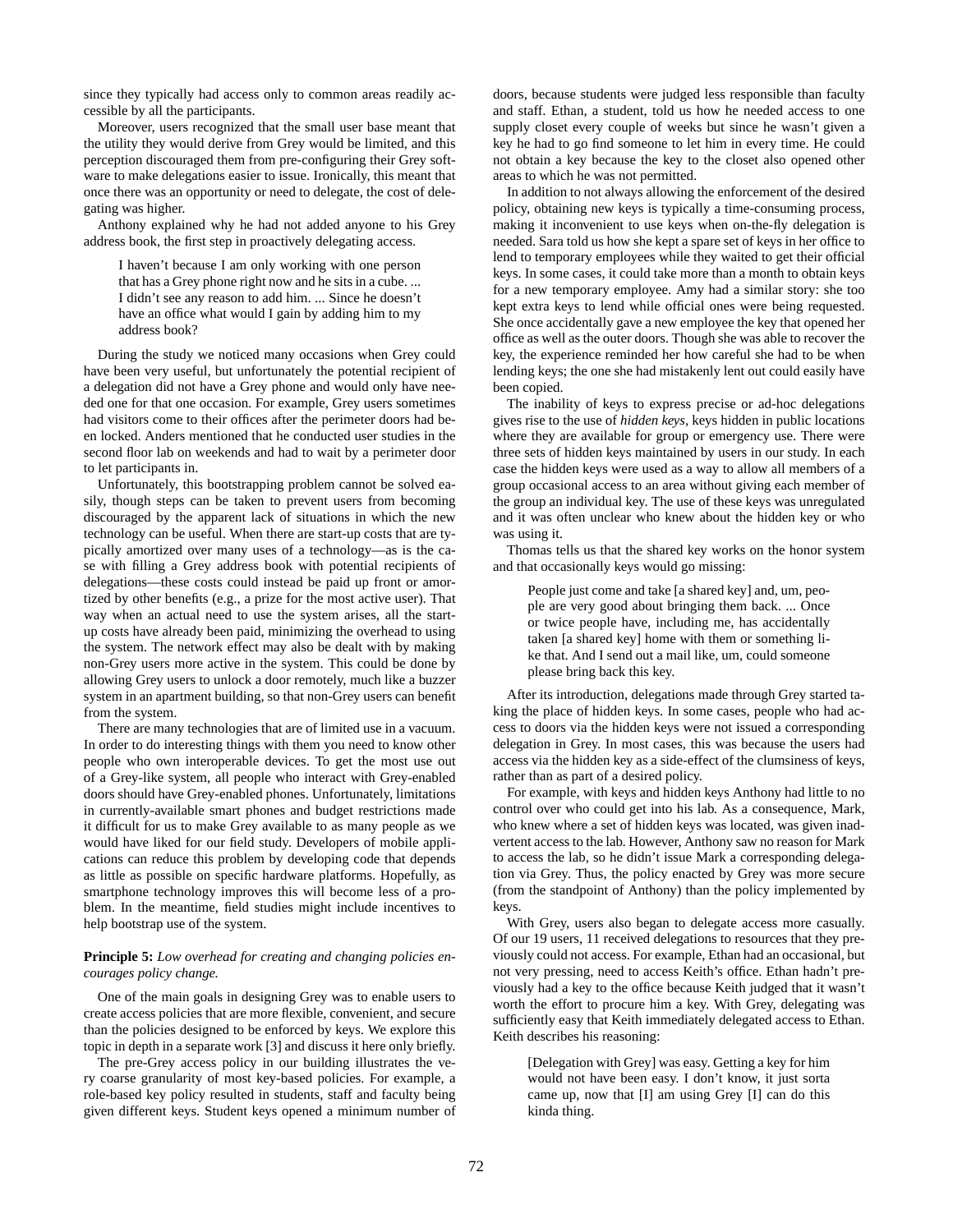since they typically had access only to common areas readily accessible by all the participants.

Moreover, users recognized that the small user base meant that the utility they would derive from Grey would be limited, and this perception discouraged them from pre-configuring their Grey software to make delegations easier to issue. Ironically, this meant that once there was an opportunity or need to delegate, the cost of delegating was higher.

Anthony explained why he had not added anyone to his Grey address book, the first step in proactively delegating access.

I haven't because I am only working with one person that has a Grey phone right now and he sits in a cube. ... I didn't see any reason to add him. ... Since he doesn't have an office what would I gain by adding him to my address book?

During the study we noticed many occasions when Grey could have been very useful, but unfortunately the potential recipient of a delegation did not have a Grey phone and would only have needed one for that one occasion. For example, Grey users sometimes had visitors come to their offices after the perimeter doors had been locked. Anders mentioned that he conducted user studies in the second floor lab on weekends and had to wait by a perimeter door to let participants in.

Unfortunately, this bootstrapping problem cannot be solved easily, though steps can be taken to prevent users from becoming discouraged by the apparent lack of situations in which the new technology can be useful. When there are start-up costs that are typically amortized over many uses of a technology—as is the case with filling a Grey address book with potential recipients of delegations—these costs could instead be paid up front or amortized by other benefits (e.g., a prize for the most active user). That way when an actual need to use the system arises, all the startup costs have already been paid, minimizing the overhead to using the system. The network effect may also be dealt with by making non-Grey users more active in the system. This could be done by allowing Grey users to unlock a door remotely, much like a buzzer system in an apartment building, so that non-Grey users can benefit from the system.

There are many technologies that are of limited use in a vacuum. In order to do interesting things with them you need to know other people who own interoperable devices. To get the most use out of a Grey-like system, all people who interact with Grey-enabled doors should have Grey-enabled phones. Unfortunately, limitations in currently-available smart phones and budget restrictions made it difficult for us to make Grey available to as many people as we would have liked for our field study. Developers of mobile applications can reduce this problem by developing code that depends as little as possible on specific hardware platforms. Hopefully, as smartphone technology improves this will become less of a problem. In the meantime, field studies might include incentives to help bootstrap use of the system.

#### **Principle 5:** *Low overhead for creating and changing policies encourages policy change.*

One of the main goals in designing Grey was to enable users to create access policies that are more flexible, convenient, and secure than the policies designed to be enforced by keys. We explore this topic in depth in a separate work [3] and discuss it here only briefly.

The pre-Grey access policy in our building illustrates the very coarse granularity of most key-based policies. For example, a role-based key policy resulted in students, staff and faculty being given different keys. Student keys opened a minimum number of doors, because students were judged less responsible than faculty and staff. Ethan, a student, told us how he needed access to one supply closet every couple of weeks but since he wasn't given a key he had to go find someone to let him in every time. He could not obtain a key because the key to the closet also opened other areas to which he was not permitted.

In addition to not always allowing the enforcement of the desired policy, obtaining new keys is typically a time-consuming process, making it inconvenient to use keys when on-the-fly delegation is needed. Sara told us how she kept a spare set of keys in her office to lend to temporary employees while they waited to get their official keys. In some cases, it could take more than a month to obtain keys for a new temporary employee. Amy had a similar story: she too kept extra keys to lend while official ones were being requested. She once accidentally gave a new employee the key that opened her office as well as the outer doors. Though she was able to recover the key, the experience reminded her how careful she had to be when lending keys; the one she had mistakenly lent out could easily have been copied.

The inability of keys to express precise or ad-hoc delegations gives rise to the use of *hidden keys*, keys hidden in public locations where they are available for group or emergency use. There were three sets of hidden keys maintained by users in our study. In each case the hidden keys were used as a way to allow all members of a group occasional access to an area without giving each member of the group an individual key. The use of these keys was unregulated and it was often unclear who knew about the hidden key or who was using it.

Thomas tells us that the shared key works on the honor system and that occasionally keys would go missing:

People just come and take [a shared key] and, um, people are very good about bringing them back. ... Once or twice people have, including me, has accidentally taken [a shared key] home with them or something like that. And I send out a mail like, um, could someone please bring back this key.

After its introduction, delegations made through Grey started taking the place of hidden keys. In some cases, people who had access to doors via the hidden keys were not issued a corresponding delegation in Grey. In most cases, this was because the users had access via the hidden key as a side-effect of the clumsiness of keys, rather than as part of a desired policy.

For example, with keys and hidden keys Anthony had little to no control over who could get into his lab. As a consequence, Mark, who knew where a set of hidden keys was located, was given inadvertent access to the lab. However, Anthony saw no reason for Mark to access the lab, so he didn't issue Mark a corresponding delegation via Grey. Thus, the policy enacted by Grey was more secure (from the standpoint of Anthony) than the policy implemented by keys.

With Grey, users also began to delegate access more casually. Of our 19 users, 11 received delegations to resources that they previously could not access. For example, Ethan had an occasional, but not very pressing, need to access Keith's office. Ethan hadn't previously had a key to the office because Keith judged that it wasn't worth the effort to procure him a key. With Grey, delegating was sufficiently easy that Keith immediately delegated access to Ethan. Keith describes his reasoning:

[Delegation with Grey] was easy. Getting a key for him would not have been easy. I don't know, it just sorta came up, now that [I] am using Grey [I] can do this kinda thing.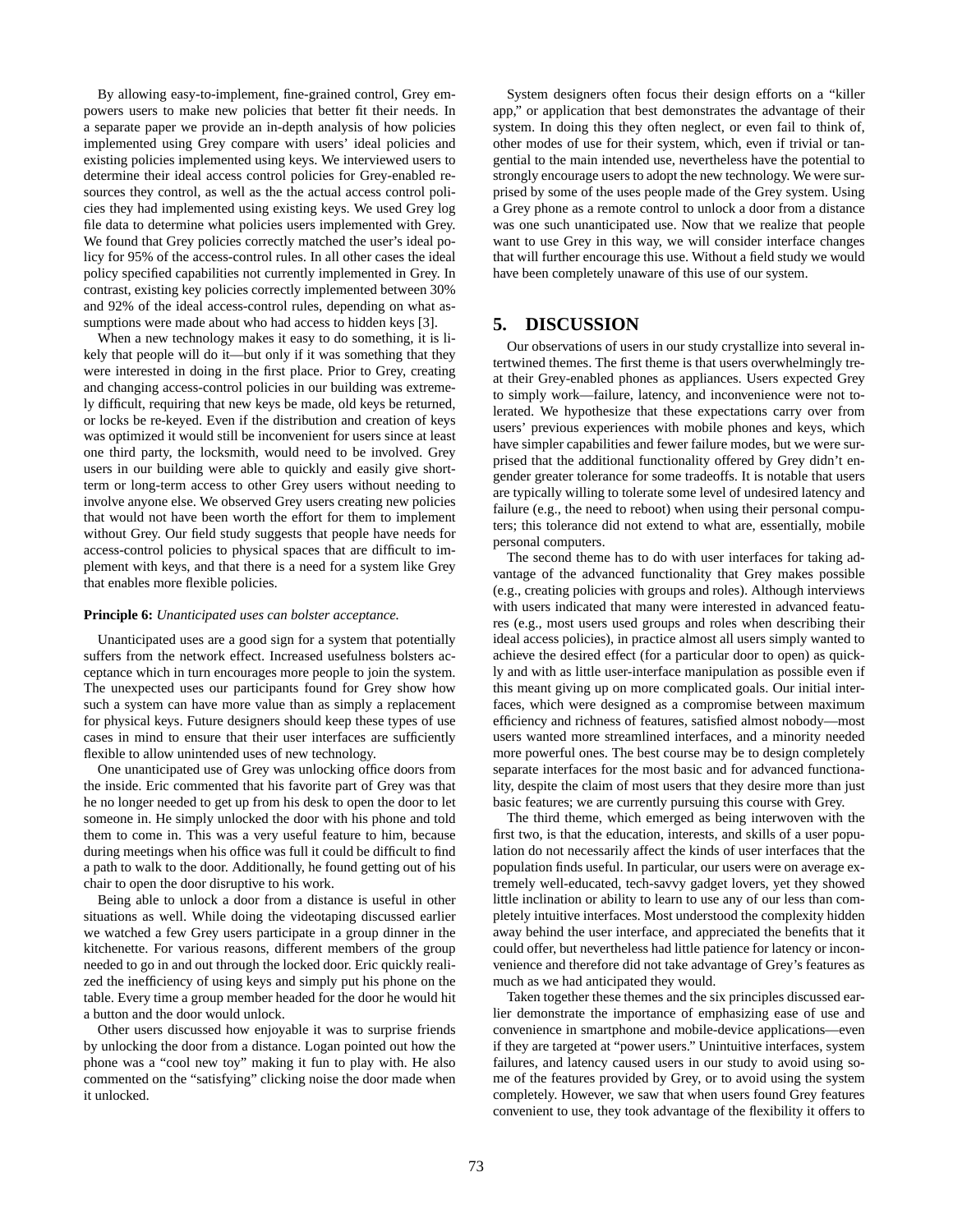By allowing easy-to-implement, fine-grained control, Grey empowers users to make new policies that better fit their needs. In a separate paper we provide an in-depth analysis of how policies implemented using Grey compare with users' ideal policies and existing policies implemented using keys. We interviewed users to determine their ideal access control policies for Grey-enabled resources they control, as well as the the actual access control policies they had implemented using existing keys. We used Grey log file data to determine what policies users implemented with Grey. We found that Grey policies correctly matched the user's ideal policy for 95% of the access-control rules. In all other cases the ideal policy specified capabilities not currently implemented in Grey. In contrast, existing key policies correctly implemented between 30% and 92% of the ideal access-control rules, depending on what assumptions were made about who had access to hidden keys [3].

When a new technology makes it easy to do something, it is likely that people will do it—but only if it was something that they were interested in doing in the first place. Prior to Grey, creating and changing access-control policies in our building was extremely difficult, requiring that new keys be made, old keys be returned, or locks be re-keyed. Even if the distribution and creation of keys was optimized it would still be inconvenient for users since at least one third party, the locksmith, would need to be involved. Grey users in our building were able to quickly and easily give shortterm or long-term access to other Grey users without needing to involve anyone else. We observed Grey users creating new policies that would not have been worth the effort for them to implement without Grey. Our field study suggests that people have needs for access-control policies to physical spaces that are difficult to implement with keys, and that there is a need for a system like Grey that enables more flexible policies.

#### **Principle 6:** *Unanticipated uses can bolster acceptance.*

Unanticipated uses are a good sign for a system that potentially suffers from the network effect. Increased usefulness bolsters acceptance which in turn encourages more people to join the system. The unexpected uses our participants found for Grey show how such a system can have more value than as simply a replacement for physical keys. Future designers should keep these types of use cases in mind to ensure that their user interfaces are sufficiently flexible to allow unintended uses of new technology.

One unanticipated use of Grey was unlocking office doors from the inside. Eric commented that his favorite part of Grey was that he no longer needed to get up from his desk to open the door to let someone in. He simply unlocked the door with his phone and told them to come in. This was a very useful feature to him, because during meetings when his office was full it could be difficult to find a path to walk to the door. Additionally, he found getting out of his chair to open the door disruptive to his work.

Being able to unlock a door from a distance is useful in other situations as well. While doing the videotaping discussed earlier we watched a few Grey users participate in a group dinner in the kitchenette. For various reasons, different members of the group needed to go in and out through the locked door. Eric quickly realized the inefficiency of using keys and simply put his phone on the table. Every time a group member headed for the door he would hit a button and the door would unlock.

Other users discussed how enjoyable it was to surprise friends by unlocking the door from a distance. Logan pointed out how the phone was a "cool new toy" making it fun to play with. He also commented on the "satisfying" clicking noise the door made when it unlocked.

System designers often focus their design efforts on a "killer app," or application that best demonstrates the advantage of their system. In doing this they often neglect, or even fail to think of, other modes of use for their system, which, even if trivial or tangential to the main intended use, nevertheless have the potential to strongly encourage users to adopt the new technology. We were surprised by some of the uses people made of the Grey system. Using a Grey phone as a remote control to unlock a door from a distance was one such unanticipated use. Now that we realize that people want to use Grey in this way, we will consider interface changes that will further encourage this use. Without a field study we would have been completely unaware of this use of our system.

## **5. DISCUSSION**

Our observations of users in our study crystallize into several intertwined themes. The first theme is that users overwhelmingly treat their Grey-enabled phones as appliances. Users expected Grey to simply work—failure, latency, and inconvenience were not tolerated. We hypothesize that these expectations carry over from users' previous experiences with mobile phones and keys, which have simpler capabilities and fewer failure modes, but we were surprised that the additional functionality offered by Grey didn't engender greater tolerance for some tradeoffs. It is notable that users are typically willing to tolerate some level of undesired latency and failure (e.g., the need to reboot) when using their personal computers; this tolerance did not extend to what are, essentially, mobile personal computers.

The second theme has to do with user interfaces for taking advantage of the advanced functionality that Grey makes possible (e.g., creating policies with groups and roles). Although interviews with users indicated that many were interested in advanced features (e.g., most users used groups and roles when describing their ideal access policies), in practice almost all users simply wanted to achieve the desired effect (for a particular door to open) as quickly and with as little user-interface manipulation as possible even if this meant giving up on more complicated goals. Our initial interfaces, which were designed as a compromise between maximum efficiency and richness of features, satisfied almost nobody—most users wanted more streamlined interfaces, and a minority needed more powerful ones. The best course may be to design completely separate interfaces for the most basic and for advanced functionality, despite the claim of most users that they desire more than just basic features; we are currently pursuing this course with Grey.

The third theme, which emerged as being interwoven with the first two, is that the education, interests, and skills of a user population do not necessarily affect the kinds of user interfaces that the population finds useful. In particular, our users were on average extremely well-educated, tech-savvy gadget lovers, yet they showed little inclination or ability to learn to use any of our less than completely intuitive interfaces. Most understood the complexity hidden away behind the user interface, and appreciated the benefits that it could offer, but nevertheless had little patience for latency or inconvenience and therefore did not take advantage of Grey's features as much as we had anticipated they would.

Taken together these themes and the six principles discussed earlier demonstrate the importance of emphasizing ease of use and convenience in smartphone and mobile-device applications—even if they are targeted at "power users." Unintuitive interfaces, system failures, and latency caused users in our study to avoid using some of the features provided by Grey, or to avoid using the system completely. However, we saw that when users found Grey features convenient to use, they took advantage of the flexibility it offers to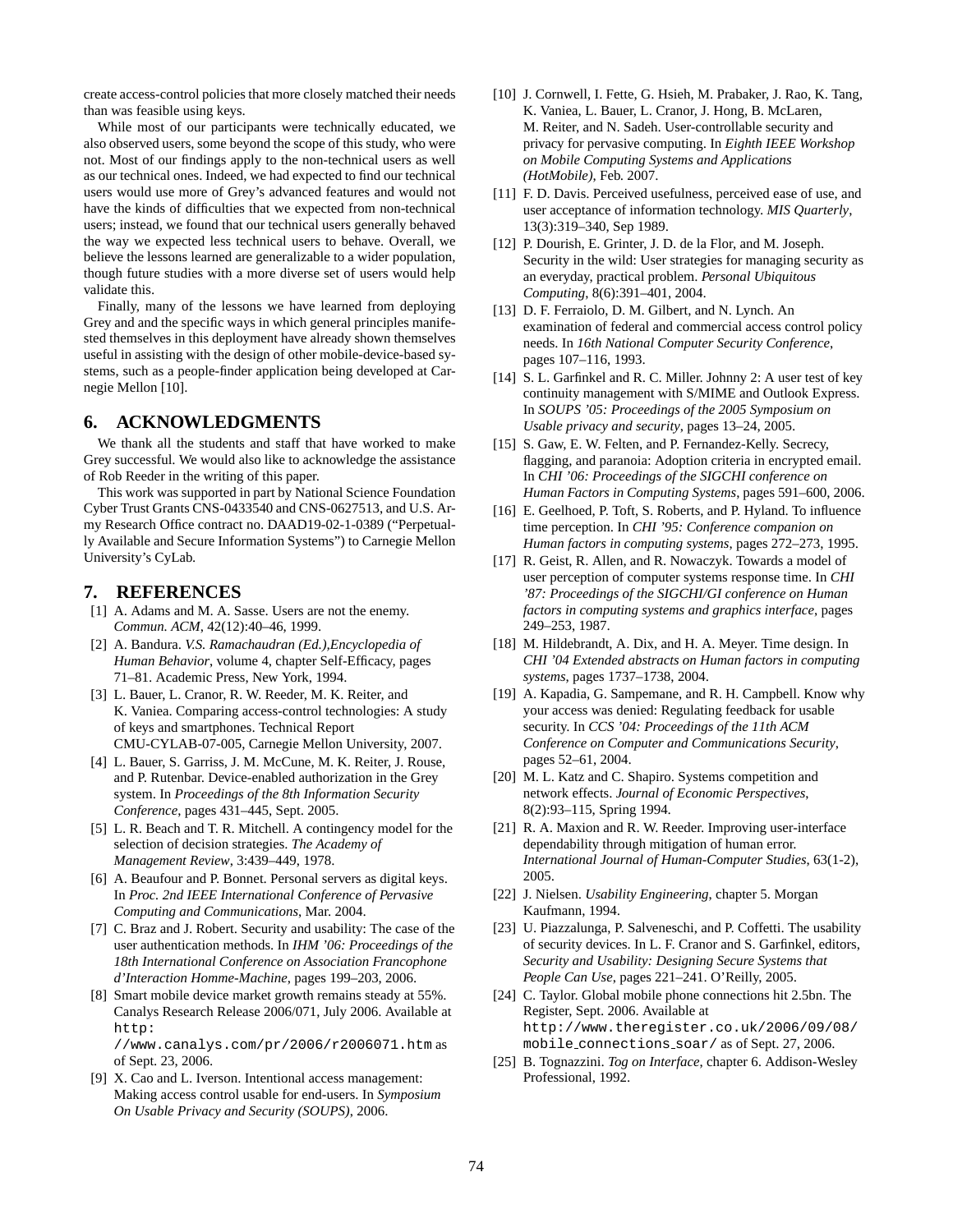create access-control policies that more closely matched their needs than was feasible using keys.

While most of our participants were technically educated, we also observed users, some beyond the scope of this study, who were not. Most of our findings apply to the non-technical users as well as our technical ones. Indeed, we had expected to find our technical users would use more of Grey's advanced features and would not have the kinds of difficulties that we expected from non-technical users; instead, we found that our technical users generally behaved the way we expected less technical users to behave. Overall, we believe the lessons learned are generalizable to a wider population, though future studies with a more diverse set of users would help validate this.

Finally, many of the lessons we have learned from deploying Grey and and the specific ways in which general principles manifested themselves in this deployment have already shown themselves useful in assisting with the design of other mobile-device-based systems, such as a people-finder application being developed at Carnegie Mellon [10].

## **6. ACKNOWLEDGMENTS**

We thank all the students and staff that have worked to make Grey successful. We would also like to acknowledge the assistance of Rob Reeder in the writing of this paper.

This work was supported in part by National Science Foundation Cyber Trust Grants CNS-0433540 and CNS-0627513, and U.S. Army Research Office contract no. DAAD19-02-1-0389 ("Perpetually Available and Secure Information Systems") to Carnegie Mellon University's CyLab.

#### **7. REFERENCES**

- [1] A. Adams and M. A. Sasse. Users are not the enemy. *Commun. ACM*, 42(12):40–46, 1999.
- [2] A. Bandura. *V.S. Ramachaudran (Ed.),Encyclopedia of Human Behavior*, volume 4, chapter Self-Efficacy, pages 71–81. Academic Press, New York, 1994.
- [3] L. Bauer, L. Cranor, R. W. Reeder, M. K. Reiter, and K. Vaniea. Comparing access-control technologies: A study of keys and smartphones. Technical Report CMU-CYLAB-07-005, Carnegie Mellon University, 2007.
- [4] L. Bauer, S. Garriss, J. M. McCune, M. K. Reiter, J. Rouse, and P. Rutenbar. Device-enabled authorization in the Grey system. In *Proceedings of the 8th Information Security Conference*, pages 431–445, Sept. 2005.
- [5] L. R. Beach and T. R. Mitchell. A contingency model for the selection of decision strategies. *The Academy of Management Review*, 3:439–449, 1978.
- [6] A. Beaufour and P. Bonnet. Personal servers as digital keys. In *Proc. 2nd IEEE International Conference of Pervasive Computing and Communications*, Mar. 2004.
- [7] C. Braz and J. Robert. Security and usability: The case of the user authentication methods. In *IHM '06: Proceedings of the 18th International Conference on Association Francophone d'Interaction Homme-Machine*, pages 199–203, 2006.
- [8] Smart mobile device market growth remains steady at 55%. Canalys Research Release 2006/071, July 2006. Available at http:

//www.canalys.com/pr/2006/r2006071.htm as of Sept. 23, 2006.

[9] X. Cao and L. Iverson. Intentional access management: Making access control usable for end-users. In *Symposium On Usable Privacy and Security (SOUPS)*, 2006.

- [10] J. Cornwell, I. Fette, G. Hsieh, M. Prabaker, J. Rao, K. Tang, K. Vaniea, L. Bauer, L. Cranor, J. Hong, B. McLaren, M. Reiter, and N. Sadeh. User-controllable security and privacy for pervasive computing. In *Eighth IEEE Workshop on Mobile Computing Systems and Applications (HotMobile)*, Feb. 2007.
- [11] F. D. Davis. Perceived usefulness, perceived ease of use, and user acceptance of information technology. *MIS Quarterly*, 13(3):319–340, Sep 1989.
- [12] P. Dourish, E. Grinter, J. D. de la Flor, and M. Joseph. Security in the wild: User strategies for managing security as an everyday, practical problem. *Personal Ubiquitous Computing*, 8(6):391–401, 2004.
- [13] D. F. Ferraiolo, D. M. Gilbert, and N. Lynch. An examination of federal and commercial access control policy needs. In *16th National Computer Security Conference*, pages 107–116, 1993.
- [14] S. L. Garfinkel and R. C. Miller. Johnny 2: A user test of key continuity management with S/MIME and Outlook Express. In *SOUPS '05: Proceedings of the 2005 Symposium on Usable privacy and security*, pages 13–24, 2005.
- [15] S. Gaw, E. W. Felten, and P. Fernandez-Kelly. Secrecy, flagging, and paranoia: Adoption criteria in encrypted email. In *CHI '06: Proceedings of the SIGCHI conference on Human Factors in Computing Systems*, pages 591–600, 2006.
- [16] E. Geelhoed, P. Toft, S. Roberts, and P. Hyland. To influence time perception. In *CHI '95: Conference companion on Human factors in computing systems*, pages 272–273, 1995.
- [17] R. Geist, R. Allen, and R. Nowaczyk. Towards a model of user perception of computer systems response time. In *CHI '87: Proceedings of the SIGCHI/GI conference on Human factors in computing systems and graphics interface*, pages 249–253, 1987.
- [18] M. Hildebrandt, A. Dix, and H. A. Meyer. Time design. In *CHI '04 Extended abstracts on Human factors in computing systems*, pages 1737–1738, 2004.
- [19] A. Kapadia, G. Sampemane, and R. H. Campbell. Know why your access was denied: Regulating feedback for usable security. In *CCS '04: Proceedings of the 11th ACM Conference on Computer and Communications Security*, pages 52–61, 2004.
- [20] M. L. Katz and C. Shapiro. Systems competition and network effects. *Journal of Economic Perspectives*, 8(2):93–115, Spring 1994.
- [21] R. A. Maxion and R. W. Reeder. Improving user-interface dependability through mitigation of human error. *International Journal of Human-Computer Studies*, 63(1-2), 2005.
- [22] J. Nielsen. *Usability Engineering*, chapter 5. Morgan Kaufmann, 1994.
- [23] U. Piazzalunga, P. Salveneschi, and P. Coffetti. The usability of security devices. In L. F. Cranor and S. Garfinkel, editors, *Security and Usability: Designing Secure Systems that People Can Use*, pages 221–241. O'Reilly, 2005.
- [24] C. Taylor. Global mobile phone connections hit 2.5bn. The Register, Sept. 2006. Available at http://www.theregister.co.uk/2006/09/08/ mobile connections soar/ as of Sept. 27, 2006.
- [25] B. Tognazzini. *Tog on Interface*, chapter 6. Addison-Wesley Professional, 1992.